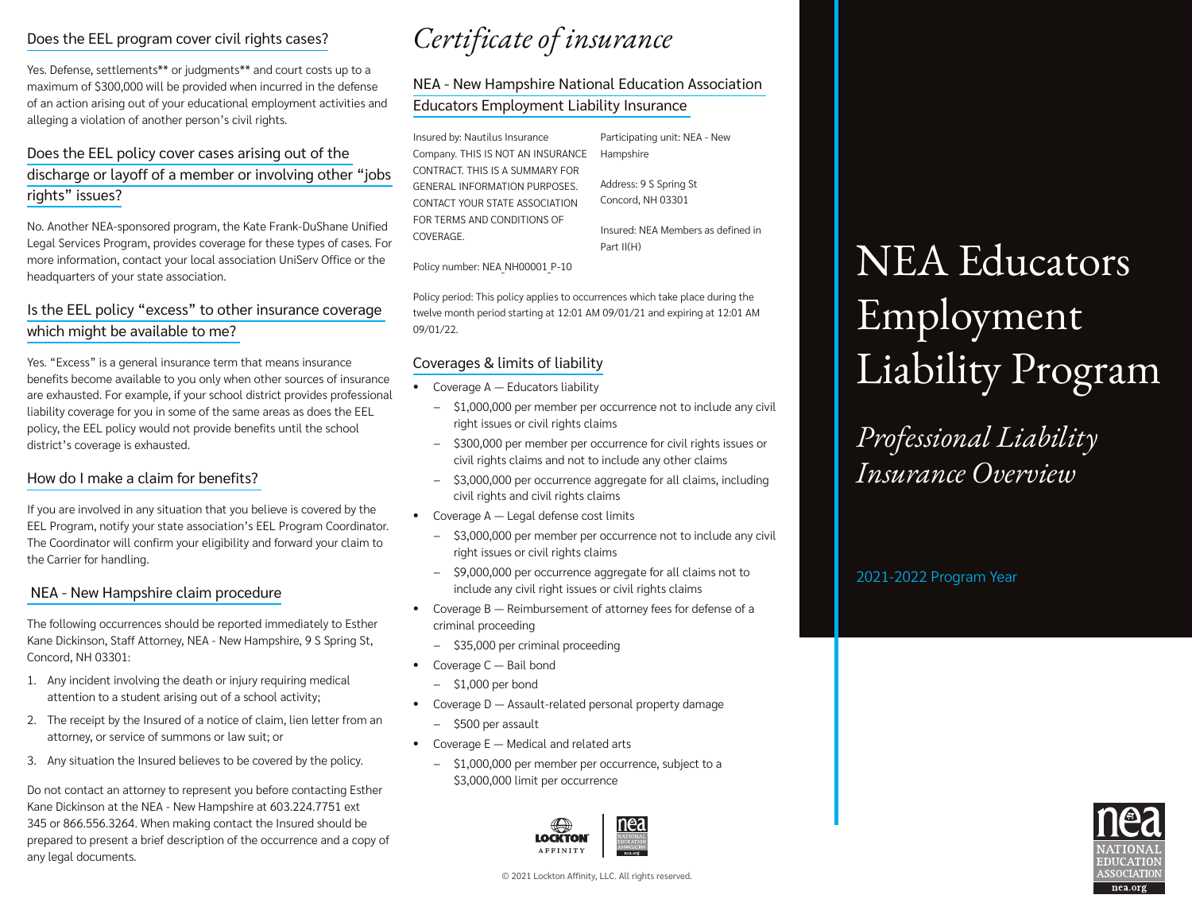# Does the EEL program cover civil rights cases?

Yes. Defense, settlements\*\* or judgments\*\* and court costs up to a maximum of \$300,000 will be provided when incurred in the defense of an action arising out of your educational employment activities and alleging a violation of another person's civil rights.

# Does the EEL policy cover cases arising out of the discharge or layoff of a member or involving other "jobs rights" issues?

No. Another NEA-sponsored program, the Kate Frank-DuShane Unified Legal Services Program, provides coverage for these types of cases. For more information, contact your local association UniServ Office or the headquarters of your state association.

# Is the EEL policy "excess" to other insurance coverage which might be available to me?

Yes. "Excess" is a general insurance term that means insurance benefits become available to you only when other sources of insurance are exhausted. For example, if your school district provides professional liability coverage for you in some of the same areas as does the EEL policy, the EEL policy would not provide benefits until the school district's coverage is exhausted.

#### How do I make a claim for benefits?

If you are involved in any situation that you believe is covered by the EEL Program, notify your state association's EEL Program Coordinator. The Coordinator will confirm your eligibility and forward your claim to the Carrier for handling.

#### NEA - New Hampshire claim procedure

The following occurrences should be reported immediately to Esther Kane Dickinson, Staff Attorney, NEA - New Hampshire, 9 S Spring St, Concord, NH 03301:

- 1. Any incident involving the death or injury requiring medical attention to a student arising out of a school activity;
- 2. The receipt by the Insured of a notice of claim, lien letter from an attorney, or service of summons or law suit; or
- 3. Any situation the Insured believes to be covered by the policy.

Do not contact an attorney to represent you before contacting Esther Kane Dickinson at the NEA - New Hampshire at 603.224.7751 ext 345 or 866.556.3264. When making contact the Insured should be prepared to present a brief description of the occurrence and a copy of any legal documents.

# *Certificate of insurance*

# NEA - New Hampshire National Education Association Educators Employment Liability Insurance

Insured by: Nautilus Insurance Company. THIS IS NOT AN INSURANCE CONTRACT. THIS IS A SUMMARY FOR GENERAL INFORMATION PURPOSES. CONTACT YOUR STATE ASSOCIATION FOR TERMS AND CONDITIONS OF COVERAGE.

Participating unit: NEA - New Hampshire

Insured: NEA Members as defined in

Address: 9 S Spring St Concord, NH 03301

Part II(H)

Policy number: NEA NH00001 P-10

Policy period: This policy applies to occurrences which take place during the twelve month period starting at 12:01 AM 09/01/21 and expiring at 12:01 AM 09/01/22.

## Coverages & limits of liability

- Coverage A Educators liability
	- − \$1,000,000 per member per occurrence not to include any civil right issues or civil rights claims
	- − \$300,000 per member per occurrence for civil rights issues or civil rights claims and not to include any other claims
	- − \$3,000,000 per occurrence aggregate for all claims, including civil rights and civil rights claims
- Coverage A Legal defense cost limits
	- − \$3,000,000 per member per occurrence not to include any civil right issues or civil rights claims
	- − \$9,000,000 per occurrence aggregate for all claims not to include any civil right issues or civil rights claims
- Coverage B Reimbursement of attorney fees for defense of a criminal proceeding
	- − \$35,000 per criminal proceeding
- Coverage C Bail bond
	- − \$1,000 per bond
- Coverage D Assault-related personal property damage
	- − \$500 per assault
- Coverage E Medical and related arts
	- − \$1,000,000 per member per occurrence, subject to a \$3,000,000 limit per occurrence



NEA Educators Employment Liability Program

*Professional Liability Insurance Overview*

2021-2022 Program Year



© 2021 Lockton Affinity, LLC. All rights reserved.